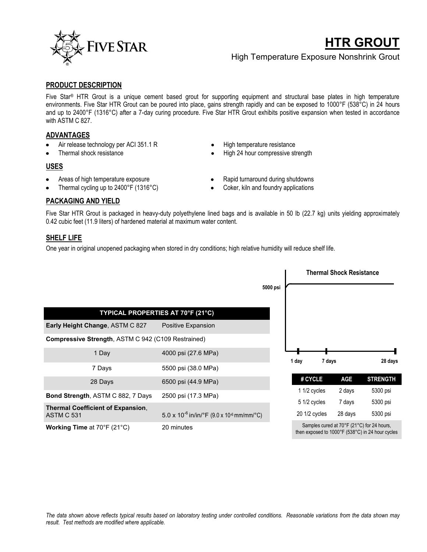

# **HTR GROUT**

High Temperature Exposure Nonshrink Grout

#### **PRODUCT DESCRIPTION**

Five Star® HTR Grout is a unique cement based grout for supporting equipment and structural base plates in high temperature environments. Five Star HTR Grout can be poured into place, gains strength rapidly and can be exposed to 1000°F (538°C) in 24 hours and up to 2400°F (1316°C) after a 7-day curing procedure. Five Star HTR Grout exhibits positive expansion when tested in accordance with ASTM C 827.

### **ADVANTAGES**

- Air release technology per ACI 351.1 R
- Thermal shock resistance

## **USES**

- Areas of high temperature exposure
- Thermal cycling up to 2400°F (1316°C)
- High temperature resistance
- High 24 hour compressive strength
- Rapid turnaround during shutdowns
- Coker, kiln and foundry applications

## **PACKAGING AND YIELD**

Five Star HTR Grout is packaged in heavy-duty polyethylene lined bags and is available in 50 lb (22.7 kg) units yielding approximately 0.42 cubic feet (11.9 liters) of hardened material at maximum water content.

### **SHELF LIFE**

One year in original unopened packaging when stored in dry conditions; high relative humidity will reduce shelf life.